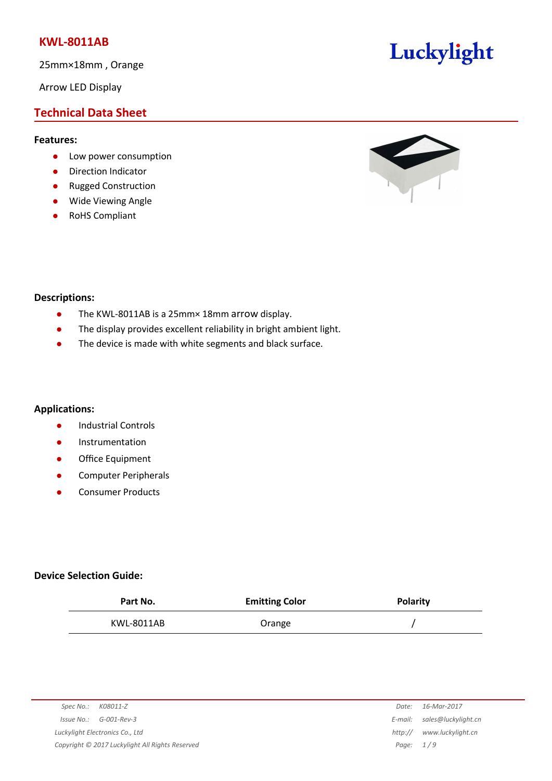25mm×18mm , Orange

Arrow LED Display

# **Technical Data Sheet**

#### **Features:**

- **•** Low power consumption
- **•** Direction Indicator
- Rugged Construction
- Wide Viewing Angle
- RoHS Compliant



Luckylight

#### **Descriptions:**

- The KWL-8011AB is a 25mm× 18mm arrow display.
- The display provides excellent reliability in bright ambient light.
- The device is made with white segments and black surface.

#### **Applications:**

- **•** Industrial Controls
- **•** Instrumentation
- **•** Office Equipment
- **•** Computer Peripherals
- Consumer Products

#### **Device Selection Guide:**

| Part No.   | <b>Emitting Color</b> | <b>Polarity</b> |
|------------|-----------------------|-----------------|
| KWL-8011AB | Orange                |                 |

| K08011-Z<br>Spec No.:                           | Date:       | 16-Mar-2017         |
|-------------------------------------------------|-------------|---------------------|
| G-001-Rev-3<br>Issue No.:                       | E-mail:     | sales@luckylight.cn |
| Luckylight Electronics Co., Ltd                 | http://     | www.luckylight.cn   |
| Copyright © 2017 Luckylight All Rights Reserved | Page: $1/9$ |                     |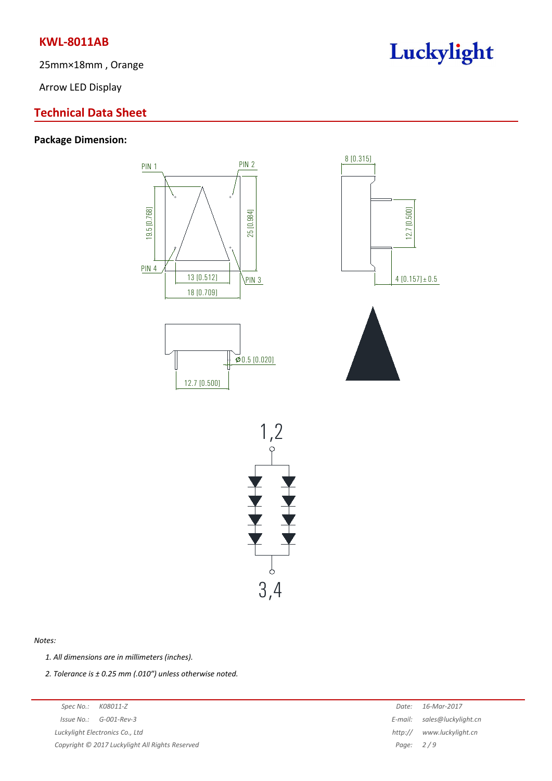25mm×18mm , Orange

Arrow LED Display

## **Technical Data Sheet**

## **Package Dimension:**



PIN 1 PIN 2





#### *Notes:*

*1. All dimensions are in millimeters (inches).*

*2. Tolerance is ± 0.25 mm (.010″) unless otherwise noted.*

*Spec No.: K08011-Z Date: 16-Mar-2017 Issue No.: G-001-Rev-3 E-mail: sales@luckylight.cn Luckylight Electronics Co., Ltd http:// www.luckylight.cn Copyright © 2017 Luckylight All Rights Reserved Page: 2 / 9*

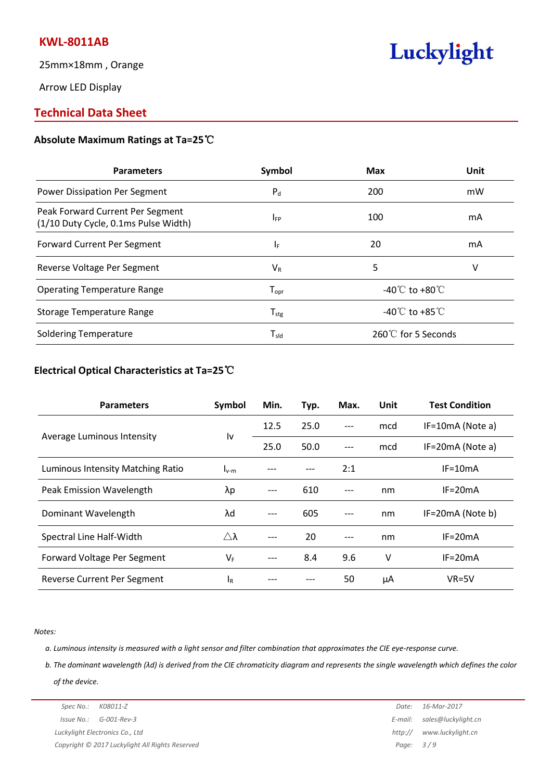25mm×18mm , Orange

Arrow LED Display

## **Technical Data Sheet**

#### **Absolute Maximum Ratings at Ta=25**℃

| <b>Parameters</b>                                                        | Symbol           | <b>Max</b>                         | Unit |
|--------------------------------------------------------------------------|------------------|------------------------------------|------|
| Power Dissipation Per Segment                                            | $P_d$            | 200                                | mW   |
| Peak Forward Current Per Segment<br>(1/10 Duty Cycle, 0.1ms Pulse Width) | <b>IFP</b>       | 100                                | mA   |
| <b>Forward Current Per Segment</b>                                       | IF.              | 20                                 | mA   |
| Reverse Voltage Per Segment                                              | $V_R$            | 5                                  | v    |
| <b>Operating Temperature Range</b>                                       | $I_{\text{opt}}$ | -40 $\degree$ C to +80 $\degree$ C |      |
| Storage Temperature Range                                                | $T_{\text{stg}}$ | -40 $\degree$ C to +85 $\degree$ C |      |
| <b>Soldering Temperature</b>                                             | $T_{sld}$        | 260℃ for 5 Seconds                 |      |

Luckylight

### **Electrical Optical Characteristics at Ta=25**℃

| <b>Parameters</b>                 | Symbol              | Min.  | Typ. | Max. | Unit | <b>Test Condition</b> |
|-----------------------------------|---------------------|-------|------|------|------|-----------------------|
| Average Luminous Intensity        | ١v                  | 12.5  | 25.0 | ---  | mcd  | IF=10mA (Note a)      |
|                                   |                     | 25.0  | 50.0 | ---  | mcd  | IF=20mA (Note a)      |
| Luminous Intensity Matching Ratio | $I_{v-m}$           |       |      | 2:1  |      | $IF=10mA$             |
| Peak Emission Wavelength          | λp                  | ---   | 610  | ---  | nm   | $IF=20mA$             |
| Dominant Wavelength               | λd                  | $---$ | 605  | ---  | nm   | IF=20mA (Note b)      |
| Spectral Line Half-Width          | $\triangle \lambda$ | $---$ | 20   | ---  | nm   | $IF = 20mA$           |
| Forward Voltage Per Segment       | $V_F$               | $---$ | 8.4  | 9.6  | v    | $IF = 20mA$           |
| Reverse Current Per Segment       | 1 <sub>R</sub>      | ---   |      | 50   | μA   | $VR=5V$               |

#### *Notes:*

a. Luminous intensity is measured with a light sensor and filter combination that approximates the CIE eye-response curve.

b. The dominant wavelength ( $\lambda$ d) is derived from the CIE chromaticity diagram and represents the single wavelength which defines the color *of the device.*

## *Spec No.: K08011-Z Date: 16-Mar-2017 Issue No.: G-001-Rev-3 E-mail: sales@luckylight.cn Luckylight Electronics Co., Ltd http:// www.luckylight.cn Copyright © 2017 Luckylight All Rights Reserved Page: 3 / 9*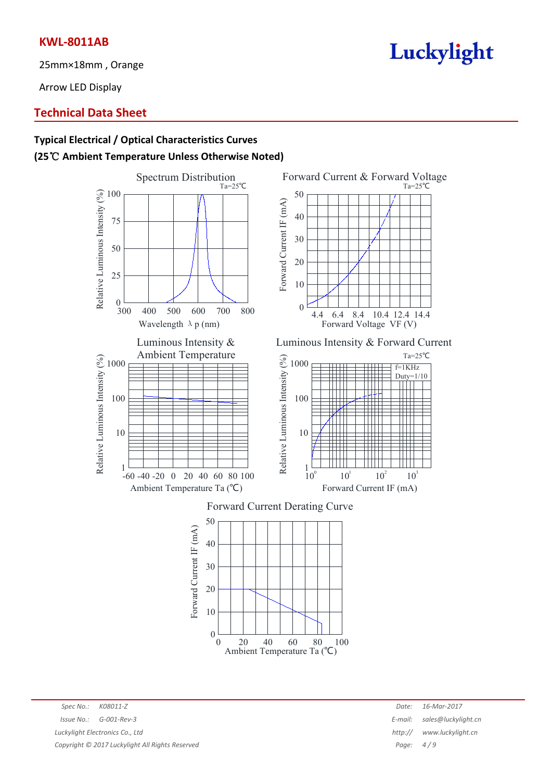25mm×18mm , Orange

Arrow LED Display

## **Technical Data Sheet**

# **Typical Electrical / Optical Characteristics Curves (25**℃ **Ambient TemperatureUnless Otherwise Noted)**





*Spec No.: K08011-Z Date: 16-Mar-2017 Issue No.: G-001-Rev-3 E-mail: sales@luckylight.cn Luckylight Electronics Co., Ltd http:// www.luckylight.cn Copyright © 2017 Luckylight All Rights Reserved Page: 4 / 9*

# Luckylight



Luminous Intensity & Forward Current



## Forward Current Derating Curve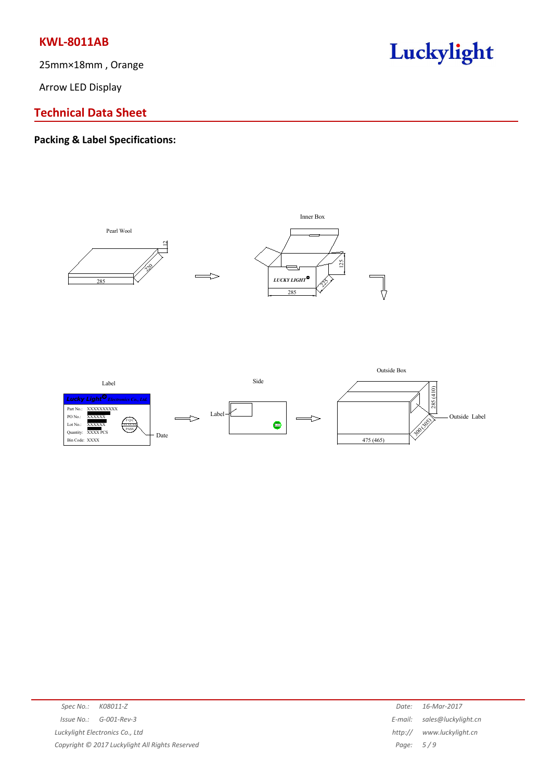25mm×18mm , Orange

Arrow LED Display



# **Technical Data Sheet**

## **Packing & Label Specifications:**



| Spec No.: K08011-Z |                                                 | Date:       | 16-Mar-2017                 |
|--------------------|-------------------------------------------------|-------------|-----------------------------|
|                    | $Issue No.: G-001-Rev-3$                        |             | E-mail: sales@luckylight.cn |
|                    | Luckylight Electronics Co., Ltd                 |             | http:// www.luckylight.cn   |
|                    | Copyright © 2017 Luckylight All Rights Reserved | Page: $5/9$ |                             |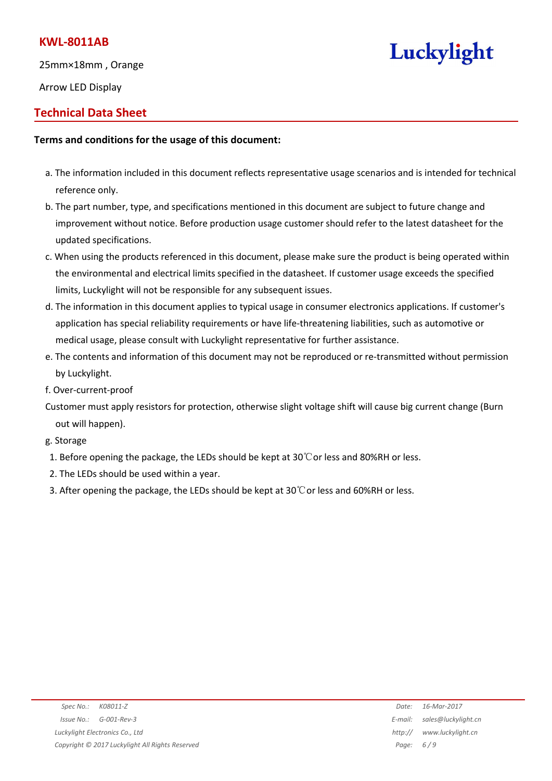25mm×18mm , Orange

Arrow LED Display

# **Technical Data Sheet**

## **Terms and conditions for the usage of this document:**

- a. The information included in this document reflects representative usage scenarios and is intended for technical reference only.
- b. The part number, type, and specifications mentioned in this document are subject to future change and improvement without notice. Before production usage customer should refer to the latest datasheet for the updated specifications.
- c. When using the products referenced in this document, please make sure the product is being operated within the environmental and electrical limits specified in the datasheet. If customer usage exceeds the specified limits, Luckylight will not be responsible for any subsequent issues.
- d. The information in this document applies to typical usage in consumer electronics applications. If customer's application has special reliability requirements or have life-threatening liabilities, such as automotive or medical usage, please consult with Luckylight representative for further assistance.
- e. The contents and information of this document may not be reproduced or re-transmitted without permission by Luckylight.
- f. Over-current-proof
- Customer must apply resistors for protection, otherwise slight voltage shift will cause big current change (Burn out will happen).
- g. Storage
- 1. Before opening the package, the LEDs should be kept at  $30^{\circ}$ Cor less and 80%RH or less.
- 2. The LEDs should be used within a year.
- 3. After opening the package, the LEDs should be kept at  $30^{\circ}$ Cor less and 60%RH or less.

Luckylight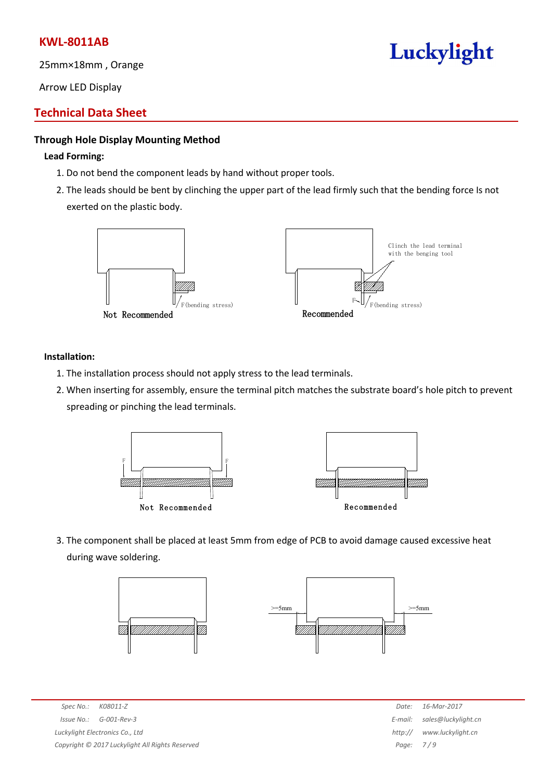25mm×18mm , Orange

Arrow LED Display

# **Technical Data Sheet**

## **Through Hole Display Mounting Method**

#### **Lead Forming:**

- 1. Do not bend the component leads by hand without proper tools.
- 2. The leads should be bent by clinching the upper part of the lead firmly such that the bending force Is not exerted on the plastic body.



#### **Installation:**

- 1. The installation process should not apply stress to the lead terminals.
- 2. When inserting for assembly, ensure the terminal pitch matches the substrate board's hole pitch to prevent spreading or pinching the lead terminals.



3. The component shall be placed at least 5mm from edge of PCB to avoid damage caused excessive heat during wave soldering.





*Spec No.: K08011-Z Date: 16-Mar-2017 Issue No.: G-001-Rev-3 E-mail: sales@luckylight.cn Luckylight Electronics Co., Ltd http:// www.luckylight.cn Copyright © 2017 Luckylight All Rights Reserved Page: 7 / 9*

# Luckylight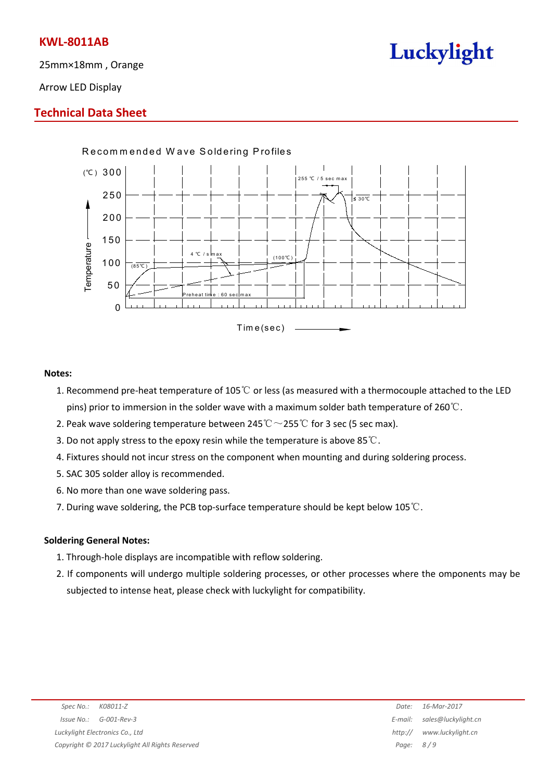25mm×18mm , Orange



Arrow LED Display

## **Technical Data Sheet**



#### **Notes:**

- 1. Recommend pre-heat temperature of 105℃ or less (as measured with a thermocouple attached to the LED pins) prior to immersion in the solder wave with a maximum solder bath temperature of 260℃.
- 2. Peak wave soldering temperature between 245° $\mathrm{C} \sim$ 255° $\mathrm{C}$  for 3 sec (5 sec max).
- 3. Do not apply stress to the epoxy resin while the temperature is above 85℃.
- 4. Fixtures should not incur stress on the component when mounting and during soldering process.
- 5. SAC 305 solder alloy is recommended.
- 6. No more than one wave soldering pass.
- 7. During wave soldering, the PCB top-surface temperature should be kept below 105℃.

#### **Soldering General Notes:**

- 1. Through-hole displays are incompatible with reflow soldering.
- 2. If components will undergo multiple soldering processes, or other processes where the omponents may be subjected to intense heat, please check with luckylight for compatibility.